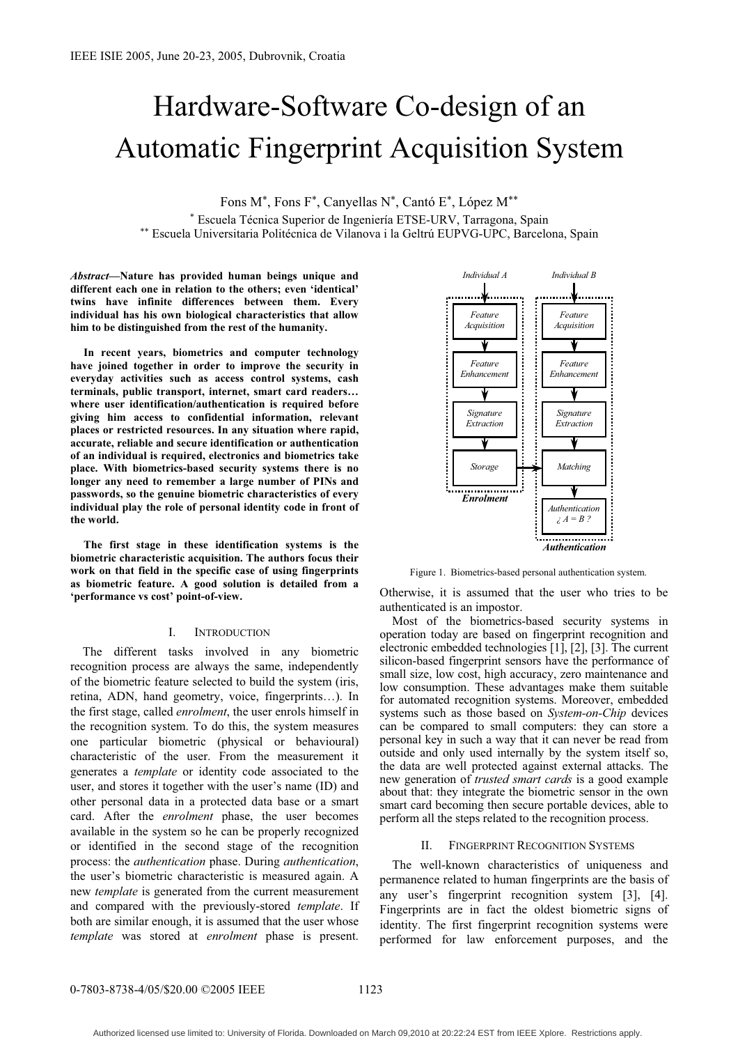# Hardware-Software Co-design of an Automatic Fingerprint Acquisition System

Fons M\*, Fons F\*, Canyellas N\*, Cantó E\*, López M\*\*

\* Escuela Técnica Superior de Ingeniería ETSE-URV, Tarragona, Spain \*\* Escuela Universitaria Politécnica de Vilanova i la Geltrú EUPVG-UPC, Barcelona, Spain

*Abstract***—Nature has provided human beings unique and different each one in relation to the others; even 'identical' twins have infinite differences between them. Every individual has his own biological characteristics that allow him to be distinguished from the rest of the humanity.** 

**In recent years, biometrics and computer technology have joined together in order to improve the security in everyday activities such as access control systems, cash terminals, public transport, internet, smart card readers… where user identification/authentication is required before giving him access to confidential information, relevant places or restricted resources. In any situation where rapid, accurate, reliable and secure identification or authentication of an individual is required, electronics and biometrics take place. With biometrics-based security systems there is no longer any need to remember a large number of PINs and passwords, so the genuine biometric characteristics of every individual play the role of personal identity code in front of the world.** 

**The first stage in these identification systems is the biometric characteristic acquisition. The authors focus their work on that field in the specific case of using fingerprints as biometric feature. A good solution is detailed from a 'performance vs cost' point-of-view.** 

# I. INTRODUCTION

The different tasks involved in any biometric recognition process are always the same, independently of the biometric feature selected to build the system (iris, retina, ADN, hand geometry, voice, fingerprints…). In the first stage, called *enrolment*, the user enrols himself in the recognition system. To do this, the system measures one particular biometric (physical or behavioural) characteristic of the user. From the measurement it generates a *template* or identity code associated to the user, and stores it together with the user's name (ID) and other personal data in a protected data base or a smart card. After the *enrolment* phase, the user becomes available in the system so he can be properly recognized or identified in the second stage of the recognition process: the *authentication* phase. During *authentication*, the user's biometric characteristic is measured again. A new *template* is generated from the current measurement and compared with the previously-stored *template*. If both are similar enough, it is assumed that the user whose *template* was stored at *enrolment* phase is present.



Figure 1. Biometrics-based personal authentication system.

Otherwise, it is assumed that the user who tries to be authenticated is an impostor.

Most of the biometrics-based security systems in operation today are based on fingerprint recognition and electronic embedded technologies [1], [2], [3]. The current silicon-based fingerprint sensors have the performance of small size, low cost, high accuracy, zero maintenance and low consumption. These advantages make them suitable for automated recognition systems. Moreover, embedded systems such as those based on *System-on-Chip* devices can be compared to small computers: they can store a personal key in such a way that it can never be read from outside and only used internally by the system itself so, the data are well protected against external attacks. The new generation of *trusted smart cards* is a good example about that: they integrate the biometric sensor in the own smart card becoming then secure portable devices, able to perform all the steps related to the recognition process.

#### II. FINGERPRINT RECOGNITION SYSTEMS

The well-known characteristics of uniqueness and permanence related to human fingerprints are the basis of any user's fingerprint recognition system [3], [4]. Fingerprints are in fact the oldest biometric signs of identity. The first fingerprint recognition systems were performed for law enforcement purposes, and the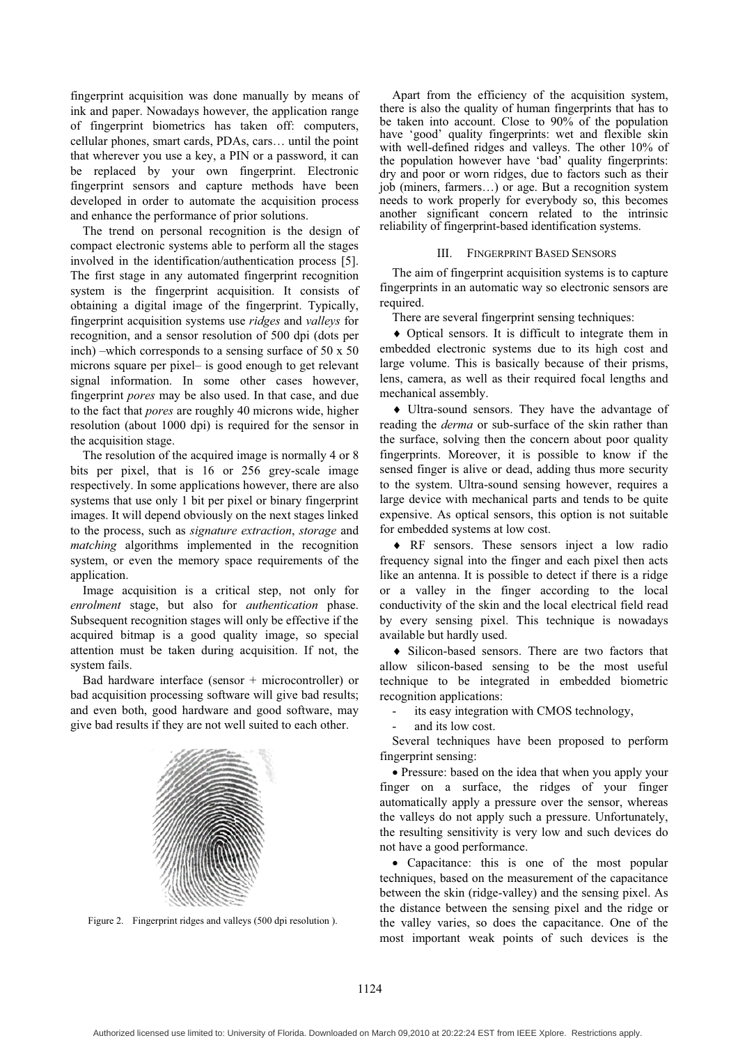fingerprint acquisition was done manually by means of ink and paper. Nowadays however, the application range of fingerprint biometrics has taken off: computers, cellular phones, smart cards, PDAs, cars… until the point that wherever you use a key, a PIN or a password, it can be replaced by your own fingerprint. Electronic fingerprint sensors and capture methods have been developed in order to automate the acquisition process and enhance the performance of prior solutions.

The trend on personal recognition is the design of compact electronic systems able to perform all the stages involved in the identification/authentication process [5]. The first stage in any automated fingerprint recognition system is the fingerprint acquisition. It consists of obtaining a digital image of the fingerprint. Typically, fingerprint acquisition systems use *ridges* and *valleys* for recognition, and a sensor resolution of 500 dpi (dots per inch) –which corresponds to a sensing surface of 50 x 50 microns square per pixel– is good enough to get relevant signal information. In some other cases however, fingerprint *pores* may be also used. In that case, and due to the fact that *pores* are roughly 40 microns wide, higher resolution (about 1000 dpi) is required for the sensor in the acquisition stage.

The resolution of the acquired image is normally 4 or 8 bits per pixel, that is 16 or 256 grey-scale image respectively. In some applications however, there are also systems that use only 1 bit per pixel or binary fingerprint images. It will depend obviously on the next stages linked to the process, such as *signature extraction*, *storage* and *matching* algorithms implemented in the recognition system, or even the memory space requirements of the application.

Image acquisition is a critical step, not only for *enrolment* stage, but also for *authentication* phase. Subsequent recognition stages will only be effective if the acquired bitmap is a good quality image, so special attention must be taken during acquisition. If not, the system fails.

Bad hardware interface (sensor + microcontroller) or bad acquisition processing software will give bad results; and even both, good hardware and good software, may give bad results if they are not well suited to each other.



Figure 2. Fingerprint ridges and valleys (500 dpi resolution).

Apart from the efficiency of the acquisition system, there is also the quality of human fingerprints that has to be taken into account. Close to 90% of the population have 'good' quality fingerprints: wet and flexible skin with well-defined ridges and valleys. The other 10% of the population however have 'bad' quality fingerprints: dry and poor or worn ridges, due to factors such as their job (miners, farmers…) or age. But a recognition system needs to work properly for everybody so, this becomes another significant concern related to the intrinsic reliability of fingerprint-based identification systems.

# III. FINGERPRINT BASED SENSORS

The aim of fingerprint acquisition systems is to capture fingerprints in an automatic way so electronic sensors are required.

There are several fingerprint sensing techniques:

 $\bullet$  Optical sensors. It is difficult to integrate them in embedded electronic systems due to its high cost and large volume. This is basically because of their prisms, lens, camera, as well as their required focal lengths and mechanical assembly.

 $\bullet$  Ultra-sound sensors. They have the advantage of reading the *derma* or sub-surface of the skin rather than the surface, solving then the concern about poor quality fingerprints. Moreover, it is possible to know if the sensed finger is alive or dead, adding thus more security to the system. Ultra-sound sensing however, requires a large device with mechanical parts and tends to be quite expensive. As optical sensors, this option is not suitable for embedded systems at low cost.

• RF sensors. These sensors inject a low radio frequency signal into the finger and each pixel then acts like an antenna. It is possible to detect if there is a ridge or a valley in the finger according to the local conductivity of the skin and the local electrical field read by every sensing pixel. This technique is nowadays available but hardly used.

 $\bullet$  Silicon-based sensors. There are two factors that allow silicon-based sensing to be the most useful technique to be integrated in embedded biometric recognition applications:

its easy integration with CMOS technology,

and its low cost.

Several techniques have been proposed to perform fingerprint sensing:

• Pressure: based on the idea that when you apply your finger on a surface, the ridges of your finger automatically apply a pressure over the sensor, whereas the valleys do not apply such a pressure. Unfortunately, the resulting sensitivity is very low and such devices do not have a good performance.

• Capacitance: this is one of the most popular techniques, based on the measurement of the capacitance between the skin (ridge-valley) and the sensing pixel. As the distance between the sensing pixel and the ridge or the valley varies, so does the capacitance. One of the most important weak points of such devices is the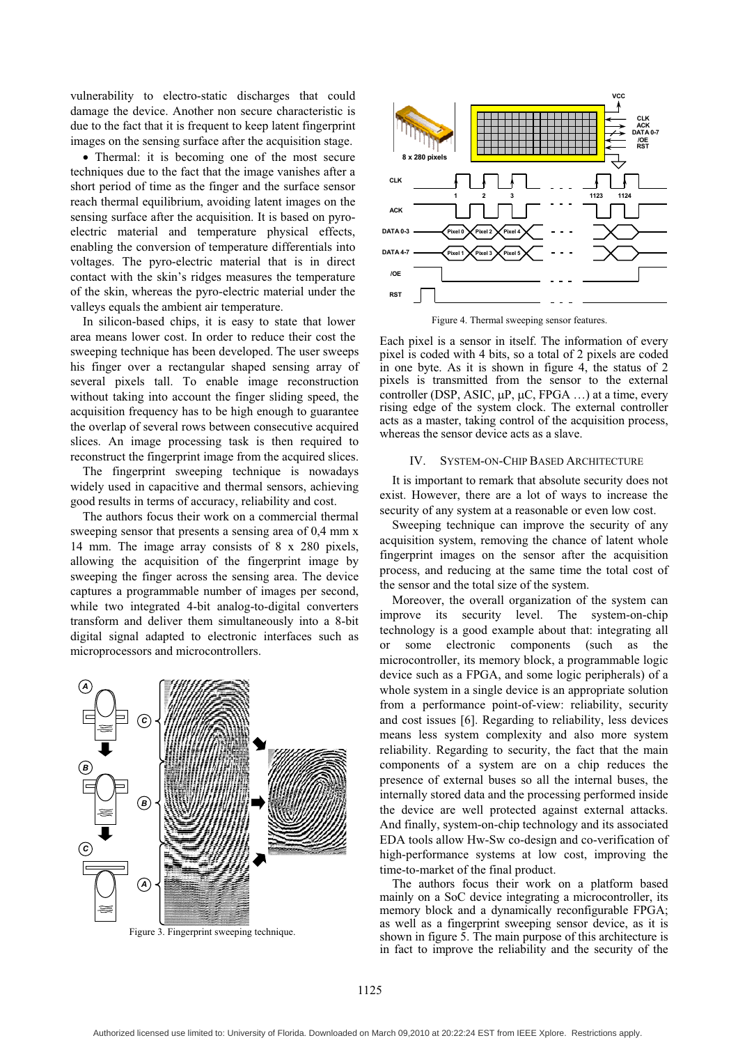vulnerability to electro-static discharges that could damage the device. Another non secure characteristic is due to the fact that it is frequent to keep latent fingerprint images on the sensing surface after the acquisition stage.

• Thermal: it is becoming one of the most secure techniques due to the fact that the image vanishes after a short period of time as the finger and the surface sensor reach thermal equilibrium, avoiding latent images on the sensing surface after the acquisition. It is based on pyroelectric material and temperature physical effects, enabling the conversion of temperature differentials into voltages. The pyro-electric material that is in direct contact with the skin's ridges measures the temperature of the skin, whereas the pyro-electric material under the valleys equals the ambient air temperature.

In silicon-based chips, it is easy to state that lower area means lower cost. In order to reduce their cost the sweeping technique has been developed. The user sweeps his finger over a rectangular shaped sensing array of several pixels tall. To enable image reconstruction without taking into account the finger sliding speed, the acquisition frequency has to be high enough to guarantee the overlap of several rows between consecutive acquired slices. An image processing task is then required to reconstruct the fingerprint image from the acquired slices.

The fingerprint sweeping technique is nowadays widely used in capacitive and thermal sensors, achieving good results in terms of accuracy, reliability and cost.

The authors focus their work on a commercial thermal sweeping sensor that presents a sensing area of 0,4 mm x 14 mm. The image array consists of 8 x 280 pixels, allowing the acquisition of the fingerprint image by sweeping the finger across the sensing area. The device captures a programmable number of images per second, while two integrated 4-bit analog-to-digital converters transform and deliver them simultaneously into a 8-bit digital signal adapted to electronic interfaces such as microprocessors and microcontrollers.



Figure 3. Fingerprint sweeping technique.



Figure 4. Thermal sweeping sensor features.

Each pixel is a sensor in itself. The information of every pixel is coded with 4 bits, so a total of 2 pixels are coded in one byte. As it is shown in figure 4, the status of 2 pixels is transmitted from the sensor to the external controller (DSP, ASIC,  $\mu$ P,  $\mu$ C, FPGA ...) at a time, every rising edge of the system clock. The external controller acts as a master, taking control of the acquisition process, whereas the sensor device acts as a slave.

# IV. SYSTEM-ON-CHIP BASED ARCHITECTURE

It is important to remark that absolute security does not exist. However, there are a lot of ways to increase the security of any system at a reasonable or even low cost.

Sweeping technique can improve the security of any acquisition system, removing the chance of latent whole fingerprint images on the sensor after the acquisition process, and reducing at the same time the total cost of the sensor and the total size of the system.

Moreover, the overall organization of the system can improve its security level. The system-on-chip technology is a good example about that: integrating all or some electronic components (such as the microcontroller, its memory block, a programmable logic device such as a FPGA, and some logic peripherals) of a whole system in a single device is an appropriate solution from a performance point-of-view: reliability, security and cost issues [6]. Regarding to reliability, less devices means less system complexity and also more system reliability. Regarding to security, the fact that the main components of a system are on a chip reduces the presence of external buses so all the internal buses, the internally stored data and the processing performed inside the device are well protected against external attacks. And finally, system-on-chip technology and its associated EDA tools allow Hw-Sw co-design and co-verification of high-performance systems at low cost, improving the time-to-market of the final product.

The authors focus their work on a platform based mainly on a SoC device integrating a microcontroller, its memory block and a dynamically reconfigurable FPGA; as well as a fingerprint sweeping sensor device, as it is shown in figure 5. The main purpose of this architecture is in fact to improve the reliability and the security of the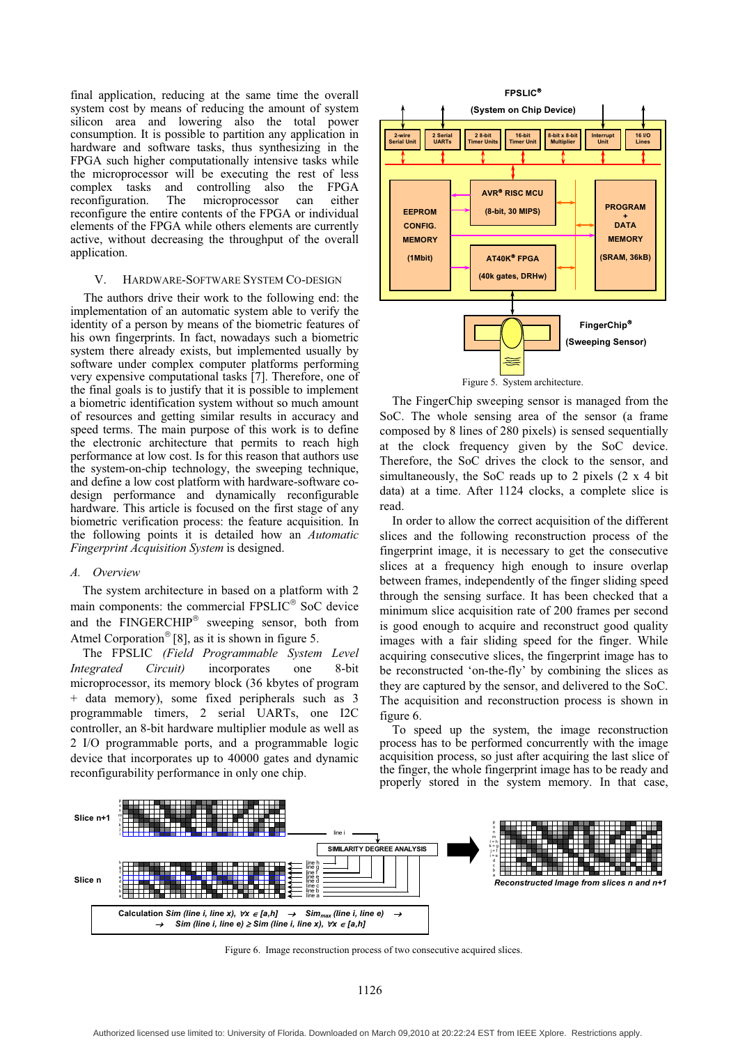final application, reducing at the same time the overall system cost by means of reducing the amount of system silicon area and lowering also the total power consumption. It is possible to partition any application in hardware and software tasks, thus synthesizing in the FPGA such higher computationally intensive tasks while the microprocessor will be executing the rest of less complex tasks and controlling also the FPGA reconfiguration. The microprocessor can either reconfigure the entire contents of the FPGA or individual elements of the FPGA while others elements are currently active, without decreasing the throughput of the overall application.

#### V. HARDWARE-SOFTWARE SYSTEM CO-DESIGN

The authors drive their work to the following end: the implementation of an automatic system able to verify the identity of a person by means of the biometric features of his own fingerprints. In fact, nowadays such a biometric system there already exists, but implemented usually by software under complex computer platforms performing very expensive computational tasks [7]. Therefore, one of the final goals is to justify that it is possible to implement a biometric identification system without so much amount of resources and getting similar results in accuracy and speed terms. The main purpose of this work is to define the electronic architecture that permits to reach high performance at low cost. Is for this reason that authors use the system-on-chip technology, the sweeping technique, and define a low cost platform with hardware-software codesign performance and dynamically reconfigurable hardware. This article is focused on the first stage of any biometric verification process: the feature acquisition. In the following points it is detailed how an *Automatic Fingerprint Acquisition System* is designed.

#### *A. Overview*

The system architecture in based on a platform with 2 main components: the commercial FPSLIC $^{\circ}$  SoC device and the  $FINGERCHIP^*$  sweeping sensor, both from Atmel Corporation<sup>®</sup> [8], as it is shown in figure 5.

The FPSLIC *(Field Programmable System Level Integrated Circuit)* incorporates one 8-bit microprocessor, its memory block (36 kbytes of program + data memory), some fixed peripherals such as 3 programmable timers, 2 serial UARTs, one I2C controller, an 8-bit hardware multiplier module as well as 2 I/O programmable ports, and a programmable logic device that incorporates up to 40000 gates and dynamic reconfigurability performance in only one chip.



The FingerChip sweeping sensor is managed from the SoC. The whole sensing area of the sensor (a frame composed by 8 lines of 280 pixels) is sensed sequentially at the clock frequency given by the SoC device. Therefore, the SoC drives the clock to the sensor, and simultaneously, the SoC reads up to 2 pixels (2 x 4 bit data) at a time. After 1124 clocks, a complete slice is read.

In order to allow the correct acquisition of the different slices and the following reconstruction process of the fingerprint image, it is necessary to get the consecutive slices at a frequency high enough to insure overlap between frames, independently of the finger sliding speed through the sensing surface. It has been checked that a minimum slice acquisition rate of 200 frames per second is good enough to acquire and reconstruct good quality images with a fair sliding speed for the finger. While acquiring consecutive slices, the fingerprint image has to be reconstructed 'on-the-fly' by combining the slices as they are captured by the sensor, and delivered to the SoC. The acquisition and reconstruction process is shown in figure 6.

To speed up the system, the image reconstruction process has to be performed concurrently with the image acquisition process, so just after acquiring the last slice of the finger, the whole fingerprint image has to be ready and properly stored in the system memory. In that case,



Figure 6. Image reconstruction process of two consecutive acquired slices.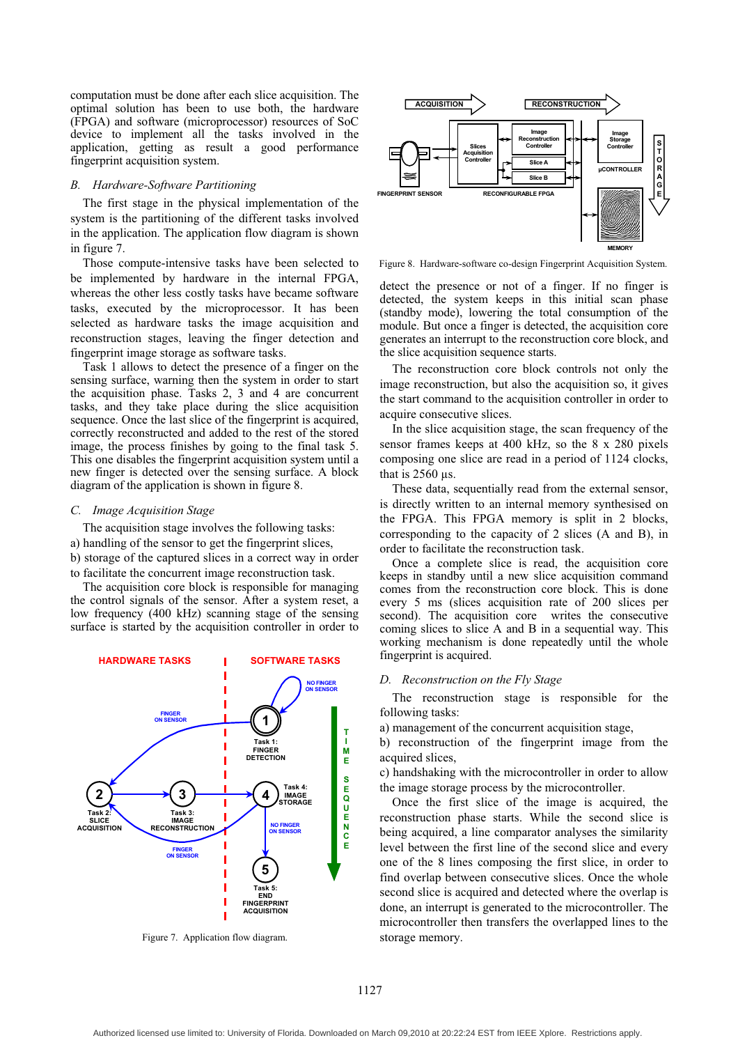computation must be done after each slice acquisition. The optimal solution has been to use both, the hardware (FPGA) and software (microprocessor) resources of SoC device to implement all the tasks involved in the application, getting as result a good performance fingerprint acquisition system.

### *B. Hardware-Software Partitioning*

The first stage in the physical implementation of the system is the partitioning of the different tasks involved in the application. The application flow diagram is shown in figure 7.

Those compute-intensive tasks have been selected to be implemented by hardware in the internal FPGA, whereas the other less costly tasks have became software tasks, executed by the microprocessor. It has been selected as hardware tasks the image acquisition and reconstruction stages, leaving the finger detection and fingerprint image storage as software tasks.

Task 1 allows to detect the presence of a finger on the sensing surface, warning then the system in order to start the acquisition phase. Tasks 2, 3 and 4 are concurrent tasks, and they take place during the slice acquisition sequence. Once the last slice of the fingerprint is acquired, correctly reconstructed and added to the rest of the stored image, the process finishes by going to the final task 5. This one disables the fingerprint acquisition system until a new finger is detected over the sensing surface. A block diagram of the application is shown in figure 8.

#### *C. Image Acquisition Stage*

The acquisition stage involves the following tasks: a) handling of the sensor to get the fingerprint slices, b) storage of the captured slices in a correct way in order to facilitate the concurrent image reconstruction task.

The acquisition core block is responsible for managing the control signals of the sensor. After a system reset, a low frequency (400 kHz) scanning stage of the sensing surface is started by the acquisition controller in order to



Figure 7. Application flow diagram.



Figure 8. Hardware-software co-design Fingerprint Acquisition System.

detect the presence or not of a finger. If no finger is detected, the system keeps in this initial scan phase (standby mode), lowering the total consumption of the module. But once a finger is detected, the acquisition core generates an interrupt to the reconstruction core block, and the slice acquisition sequence starts.

The reconstruction core block controls not only the image reconstruction, but also the acquisition so, it gives the start command to the acquisition controller in order to acquire consecutive slices.

In the slice acquisition stage, the scan frequency of the sensor frames keeps at 400 kHz, so the 8 x 280 pixels composing one slice are read in a period of 1124 clocks, that is 2560 us.

These data, sequentially read from the external sensor, is directly written to an internal memory synthesised on the FPGA. This FPGA memory is split in 2 blocks, corresponding to the capacity of 2 slices (A and B), in order to facilitate the reconstruction task.

Once a complete slice is read, the acquisition core keeps in standby until a new slice acquisition command comes from the reconstruction core block. This is done every 5 ms (slices acquisition rate of 200 slices per second). The acquisition core writes the consecutive coming slices to slice A and B in a sequential way. This working mechanism is done repeatedly until the whole fingerprint is acquired.

# *D. Reconstruction on the Fly Stage*

The reconstruction stage is responsible for the following tasks:

a) management of the concurrent acquisition stage,

b) reconstruction of the fingerprint image from the acquired slices,

c) handshaking with the microcontroller in order to allow the image storage process by the microcontroller.

Once the first slice of the image is acquired, the reconstruction phase starts. While the second slice is being acquired, a line comparator analyses the similarity level between the first line of the second slice and every one of the 8 lines composing the first slice, in order to find overlap between consecutive slices. Once the whole second slice is acquired and detected where the overlap is done, an interrupt is generated to the microcontroller. The microcontroller then transfers the overlapped lines to the storage memory.